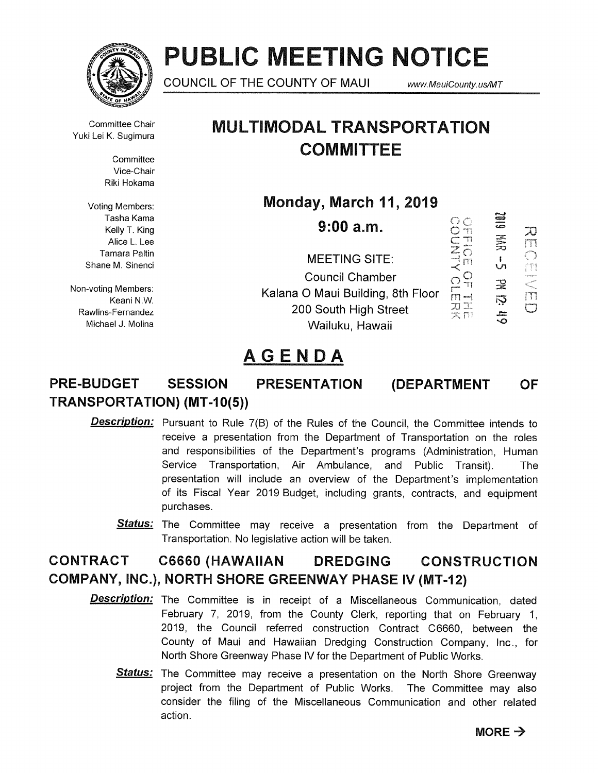

# PUBLIC MEETING NOTICE

COUNCIL OF THE COUNTY OF MAUI www.MauiCounty.us/MT

Committee Chair

**Committee** Vice-Chair Riki Hokama

Voting Members: Tasha Kama Kelly T. King Alice L. Lee Tamara Paltin Shane M. Sinenci

Non-voting Members: Keani N.W. Rawiins-Fernandez Michael J. Molina

### Committee Chair **MULTIMODAL TRANSPORTATION COMMITTEE**

Monday, March 11, 2019

| 9:00 a.m.                                                                                               |                 | æ<br>芸             | ÃJ |
|---------------------------------------------------------------------------------------------------------|-----------------|--------------------|----|
| <b>MEETING SITE:</b>                                                                                    |                 | LΠ                 |    |
| <b>Council Chamber</b><br>Kalana O Maui Building, 8th Floor<br>200 South High Street<br>Wailuku, Hawaii | <b>RE</b><br>文四 | 곷<br>Ņ<br>$\equiv$ |    |

## AGENDA

#### PRE-BUDGET SESSION PRESENTATION TRANSPORTATION) (MT-I 0(5)) (DEPARTMENT **OF**

- Description: Pursuant to Rule 7(B) of the Rules of the Council, the Committee intends to receive a presentation from the Department of Transportation on the roles and responsibilities of the Department's programs (Administration, Human Service Transportation, Air Ambulance, and Public Transit). The presentation will include an overview of the Department's implementation of its Fiscal Year 2019 Budget, including grants, contracts, and equipment purchases.
	- Status: The Committee may receive a presentation from the Department of Transportation. No legislative action will be taken.

### CONTRACT C6660 (HAWAIIAN DREDGING CONSTRUCTION COMPANY, INC.), NORTH SHORE GREENWAY PHASE IV (MT-12)

- Description: The Committee is in receipt of a Miscellaneous Communication, dated February 7, 2019, from the County Clerk, reporting that on February 1, 2019, the Council referred construction Contract C6660, between the County of Maui and Hawaiian Dredging Construction Company, Inc., for North Shore Greenway Phase IV for the Department of Public Works.
	- Status: The Committee may receive a presentation on the North Shore Greenway project from the Department of Public Works. The Committee may also consider the filing of the Miscellaneous Communication and other related action.